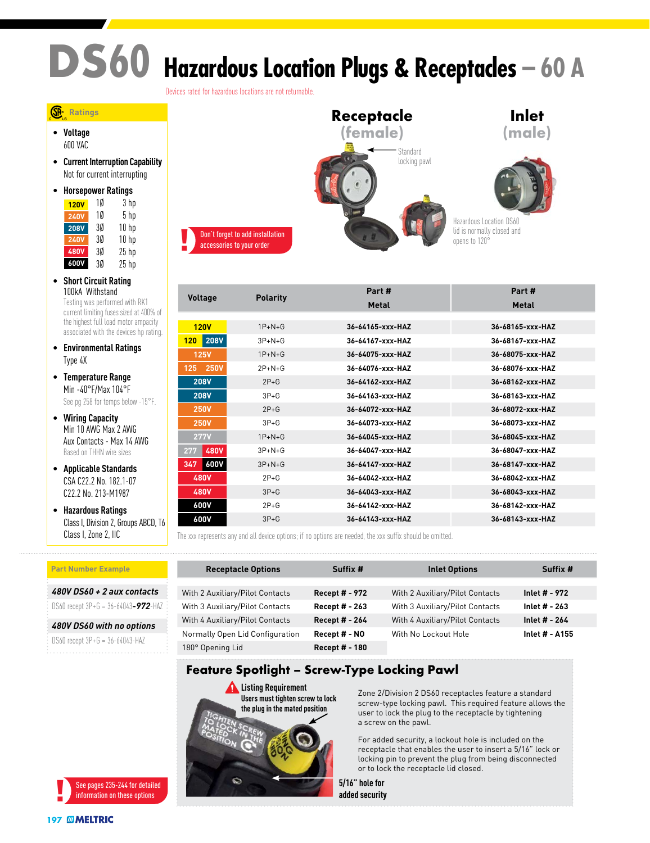# **DS60 Hazardous Location Plugs & Receptacles – 60 A**

Devices rated for hazardous locations are not returnable.

#### **Ratings**

• **Voltage** 600 VAC

• **Current Interruption Capability** Not for current interrupting

| <b>Horsepower Ratings</b> |    |                  |  |
|---------------------------|----|------------------|--|
| <b>120V</b>               | 10 | 3 hp             |  |
| <b>240V</b>               | 10 | 5 hp             |  |
| <b>208V</b>               | 3Ø | 10 <sub>hp</sub> |  |
| <b>240V</b>               | 3Ø | 10 <sub>hp</sub> |  |
| <b>480V</b>               | 3Ø | $25$ hp          |  |
| 600V                      | 3Ø | $25$ hp          |  |

- **Short Circuit Rating** 100kA Withstand Testing was performed with RK1 current limiting fuses sized at 400% of the highest full load motor ampacity associated with the devices hp rating.
- **Environmental Ratings** Type 4X
- **Temperature Range** Min -40°F/Max 104°F See pg 258 for temps below -15°F.
- **Wiring Capacity** Min 10 AWG Max 2 AWG Aux Contacts - Max 14 AWG Based on THHN wire sizes
- **Applicable Standards** CSA C22.2 No. 182.1-07 C22.2 No. 213-M1987
- **Hazardous Ratings** Class I, Division 2, Groups ABCD, T6 Class I, Zone 2, IIC

*480V DS60 + 2 aux contacts* DS60 recept 3P+G = 36-64043*-972*-HAZ *480V DS60 with no options* DS60 recept 3P+G = 36-64043-HAZ

**Part Number Example**

### **Receptacle (female) Inlet (male)** Standard locking pawl Hazardous Location DS60 lid is normally closed and opens to 120°

| <b>Voltage</b>     | <b>Polarity</b> | Part #           | Part #           |
|--------------------|-----------------|------------------|------------------|
|                    |                 | Metal            | Metal            |
|                    |                 |                  |                  |
| 120V               | $1P+N+G$        | 36-64165-xxx-HAZ | 36-68165-xxx-HAZ |
| <b>208V</b><br>120 | $3P+N+G$        | 36-64167-xxx-HAZ | 36-68167-xxx-HAZ |
| <b>125V</b>        | $1P+N+G$        | 36-64075-xxx-HAZ | 36-68075-xxx-HAZ |
| <b>250V</b><br>125 | $2P+N+G$        | 36-64076-xxx-HAZ | 36-68076-xxx-HAZ |
| <b>208V</b>        | $2P + G$        | 36-64162-xxx-HAZ | 36-68162-xxx-HAZ |
| <b>208V</b>        | $3P + G$        | 36-64163-xxx-HAZ | 36-68163-xxx-HAZ |
| <b>250V</b>        | $2P + G$        | 36-64072-xxx-HAZ | 36-68072-xxx-HAZ |
| <b>250V</b>        | $3P+G$          | 36-64073-xxx-HAZ | 36-68073-xxx-HAZ |
| <b>277V</b>        | $1P+N+G$        | 36-64045-xxx-HAZ | 36-68045-xxx-HAZ |
| <b>480V</b><br>277 | $3P+N+G$        | 36-64047-xxx-HAZ | 36-68047-xxx-HAZ |
| 600V<br>347        | $3P+N+G$        | 36-64147-xxx-HAZ | 36-68147-xxx-HAZ |
| <b>480V</b>        | $2P+G$          | 36-64042-xxx-HAZ | 36-68042-xxx-HAZ |
| <b>480V</b>        | $3P + G$        | 36-64043-xxx-HAZ | 36-68043-xxx-HAZ |
| 600V               | $2P+G$          | 36-64142-xxx-HAZ | 36-68142-xxx-HAZ |
| 600V               | $3P + G$        | 36-64143-xxx-HAZ | 36-68143-xxx-HAZ |

The xxx represents any and all device options; if no options are needed, the xxx suffix should be omitted.

| <b>Receptacle Options</b>       | Suffix #              | <b>Inlet Options</b>            | Suffix #       |
|---------------------------------|-----------------------|---------------------------------|----------------|
|                                 |                       |                                 |                |
| With 2 Auxiliary/Pilot Contacts | <b>Recept # - 972</b> | With 2 Auxiliary/Pilot Contacts | Inlet # - 972  |
| With 3 Auxiliary/Pilot Contacts | <b>Recept # - 263</b> | With 3 Auxiliary/Pilot Contacts | Inlet # - 263  |
| With 4 Auxiliary/Pilot Contacts | Recept # - 264        | With 4 Auxiliary/Pilot Contacts | Inlet # - 264  |
| Normally Open Lid Configuration | Recept # - NO         | With No Lockout Hole            | Inlet # - A155 |
| 180° Opening Lid                | Recept # - 180        |                                 |                |

#### **Feature Spotlight – Screw-Type Locking Pawl**

**Listing Requirement Users must tighten screw to lock the plug in the mated position** WARNING COM **DANGER CAUTI** 

**NOTICE** 

Zone 2/Division 2 DS60 receptacles feature a standard screw-type locking pawl. This required feature allows the user to lock the plug to the receptacle by tightening a screw on the pawl.

For added security, a lockout hole is included on the receptacle that enables the user to insert a 5/16" lock or locking pin to prevent the plug from being disconnected or to lock the receptacle lid closed.

**5/16" hole for added security**



Don't forget to add installation accessories to your order